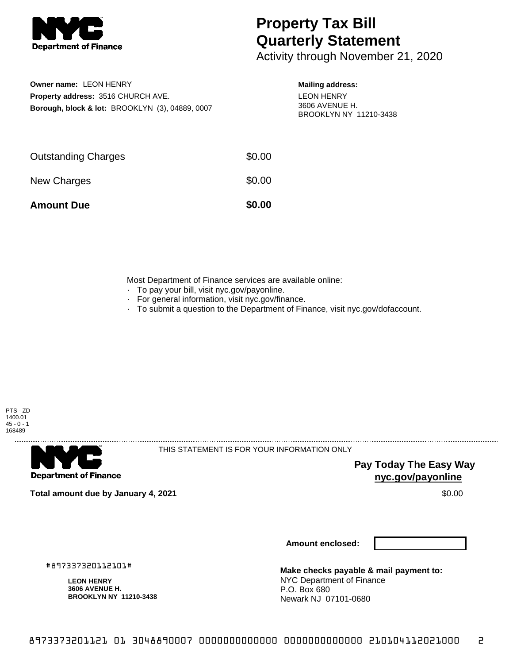

## **Property Tax Bill Quarterly Statement**

Activity through November 21, 2020

| Owner name: LEON HENRY                                     |
|------------------------------------------------------------|
| <b>Property address: 3516 CHURCH AVE.</b>                  |
| <b>Borough, block &amp; lot: BROOKLYN (3), 04889, 0007</b> |

## **Mailing address:** LEON HENRY 3606 AVENUE H. BROOKLYN NY 11210-3438

| <b>Amount Due</b>          | \$0.00 |
|----------------------------|--------|
| New Charges                | \$0.00 |
| <b>Outstanding Charges</b> | \$0.00 |

Most Department of Finance services are available online:

- · To pay your bill, visit nyc.gov/payonline.
- For general information, visit nyc.gov/finance.
- · To submit a question to the Department of Finance, visit nyc.gov/dofaccount.



**Department of Finance** 

THIS STATEMENT IS FOR YOUR INFORMATION ONLY

**Pay Today The Easy Way nyc.gov/payonline**

**Total amount due by January 4, 2021** \$0.00

**Amount enclosed:**

#897337320112101#

**LEON HENRY 3606 AVENUE H. BROOKLYN NY 11210-3438**

**Make checks payable & mail payment to:** NYC Department of Finance P.O. Box 680 Newark NJ 07101-0680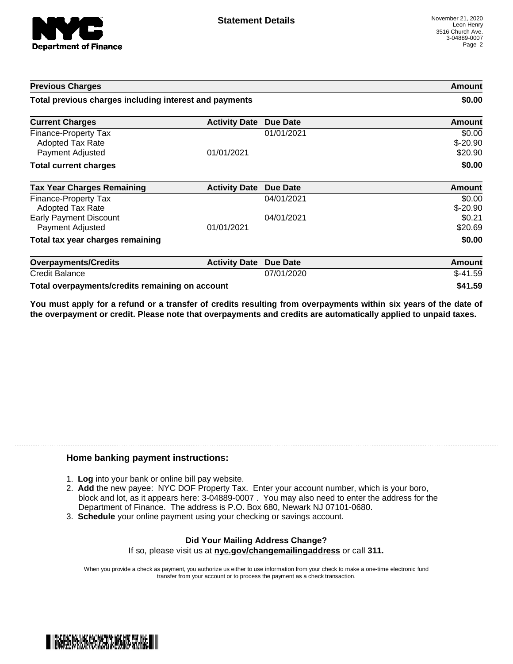

| <b>Previous Charges</b>                                             |                      | Amount<br>\$0.00 |                                |
|---------------------------------------------------------------------|----------------------|------------------|--------------------------------|
| Total previous charges including interest and payments              |                      |                  |                                |
| <b>Current Charges</b>                                              | <b>Activity Date</b> | <b>Due Date</b>  | Amount                         |
| Finance-Property Tax<br><b>Adopted Tax Rate</b><br>Payment Adjusted | 01/01/2021           | 01/01/2021       | \$0.00<br>$$-20.90$<br>\$20.90 |
| <b>Total current charges</b>                                        |                      |                  | \$0.00                         |
| <b>Tax Year Charges Remaining</b>                                   | <b>Activity Date</b> | <b>Due Date</b>  | <b>Amount</b>                  |
| Finance-Property Tax<br><b>Adopted Tax Rate</b>                     |                      | 04/01/2021       | \$0.00<br>$$-20.90$            |
| <b>Early Payment Discount</b><br>Payment Adjusted                   | 01/01/2021           | 04/01/2021       | \$0.21<br>\$20.69              |
| Total tax year charges remaining                                    |                      |                  | \$0.00                         |
| <b>Overpayments/Credits</b>                                         | <b>Activity Date</b> | <b>Due Date</b>  | <b>Amount</b>                  |
| <b>Credit Balance</b>                                               |                      | 07/01/2020       | $$-41.59$                      |
| Total overpayments/credits remaining on account                     |                      |                  | \$41.59                        |

You must apply for a refund or a transfer of credits resulting from overpayments within six years of the date of **the overpayment or credit. Please note that overpayments and credits are automatically applied to unpaid taxes.**

## **Home banking payment instructions:**

- 1. **Log** into your bank or online bill pay website.
- 2. **Add** the new payee: NYC DOF Property Tax. Enter your account number, which is your boro, block and lot, as it appears here: 3-04889-0007 . You may also need to enter the address for the Department of Finance. The address is P.O. Box 680, Newark NJ 07101-0680.
- 3. **Schedule** your online payment using your checking or savings account.

## **Did Your Mailing Address Change?** If so, please visit us at **nyc.gov/changemailingaddress** or call **311.**

When you provide a check as payment, you authorize us either to use information from your check to make a one-time electronic fund transfer from your account or to process the payment as a check transaction.